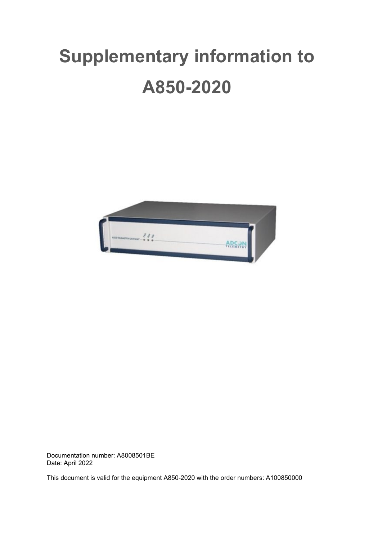# **Supplementary information to A850-2020**



Documentation number: A8008501BE Date: April 2022

This document is valid for the equipment A850-2020 with the order numbers: A100850000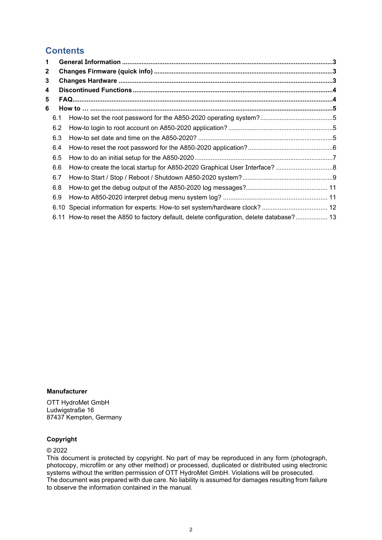# **Contents**

| 1 |     |                                                                                          |  |
|---|-----|------------------------------------------------------------------------------------------|--|
| 2 |     |                                                                                          |  |
| 3 |     |                                                                                          |  |
| 4 |     |                                                                                          |  |
| 5 |     |                                                                                          |  |
| 6 |     |                                                                                          |  |
|   | 6.1 |                                                                                          |  |
|   | 6.2 |                                                                                          |  |
|   | 6.3 |                                                                                          |  |
|   | 6.4 |                                                                                          |  |
|   | 6.5 |                                                                                          |  |
|   | 6.6 |                                                                                          |  |
|   | 6.7 |                                                                                          |  |
|   | 6.8 |                                                                                          |  |
|   | 6.9 |                                                                                          |  |
|   |     |                                                                                          |  |
|   |     | 6.11 How-to reset the A850 to factory default, delete configuration, delete database? 13 |  |

# **Manufacturer**

OTT HydroMet GmbH Ludwigstraße 16 87437 Kempten, Germany

#### **Copyright**

#### © 2022

This document is protected by copyright. No part of may be reproduced in any form (photograph, photocopy, microfilm or any other method) or processed, duplicated or distributed using electronic systems without the written permission of OTT HydroMet GmbH. Violations will be prosecuted. The document was prepared with due care. No liability is assumed for damages resulting from failure to observe the information contained in the manual.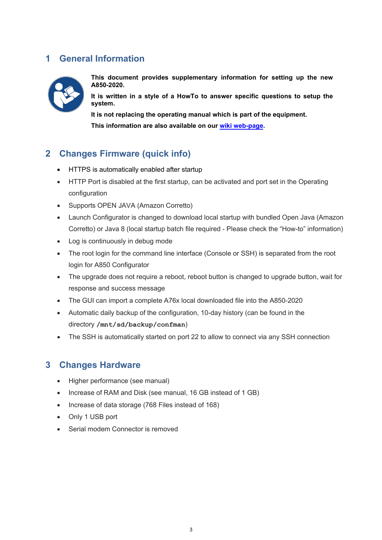# <span id="page-2-0"></span>**1 General Information**



**This document provides supplementary information for setting up the new A850-2020.** 

**It is written in a style of a HowTo to answer specific questions to setup the system.**

**It is not replacing the operating manual which is part of the equipment.** 

**This information are also available on our [wiki web-page.](http://wiki.adcon-support.at/index.php?title=A850-2020)**

# <span id="page-2-1"></span>**2 Changes Firmware (quick info)**

- HTTPS is automatically enabled after startup
- HTTP Port is disabled at the first startup, can be activated and port set in the Operating configuration
- Supports OPEN JAVA (Amazon Corretto)
- Launch Configurator is changed to download local startup with bundled Open Java (Amazon Corretto) or Java 8 (local startup batch file required - Please check the "How-to" information)
- Log is continuously in debug mode
- The root login for the command line interface (Console or SSH) is separated from the root login for A850 Configurator
- The upgrade does not require a reboot, reboot button is changed to upgrade button, wait for response and success message
- The GUI can import a complete A76x local downloaded file into the A850-2020
- Automatic daily backup of the configuration, 10-day history (can be found in the directory **/mnt/sd/backup/confman**)
- The SSH is automatically started on port 22 to allow to connect via any SSH connection

# <span id="page-2-2"></span>**3 Changes Hardware**

- Higher performance (see manual)
- Increase of RAM and Disk (see manual, 16 GB instead of 1 GB)
- Increase of data storage (768 Files instead of 168)
- Only 1 USB port
- Serial modem Connector is removed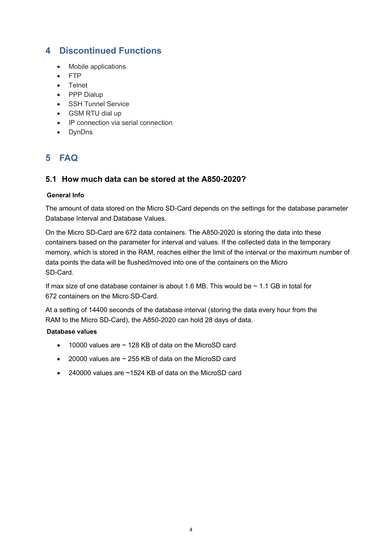# <span id="page-3-0"></span>**4 Discontinued Functions**

- Mobile applications
- FTP
- Telnet
- PPP Dialup
- SSH Tunnel Service
- GSM RTU dial up
- IP connection via serial connection
- DynDns

# <span id="page-3-1"></span>**5 FAQ**

# **5.1 How much data can be stored at the A850-2020?**

# **General Info**

The amount of data stored on the Micro SD-Card depends on the settings for the database parameter Database Interval and Database Values.

On the Micro SD-Card are 672 data containers. The A850-2020 is storing the data into these containers based on the parameter for interval and values. If the collected data in the temporary memory, which is stored in the RAM, reaches either the limit of the interval or the maximum number of data points the data will be flushed/moved into one of the containers on the Micro SD-Card.

If max size of one database container is about 1.6 MB. This would be  $\sim$  1.1 GB in total for 672 containers on the Micro SD-Card.

At a setting of 14400 seconds of the database interval (storing the data every hour from the RAM to the Micro SD-Card), the A850-2020 can hold 28 days of data.

# **Database values**

- 10000 values are ~ 128 KB of data on the MicroSD card
- 20000 values are ~ 255 KB of data on the MicroSD card
- 240000 values are ~1524 KB of data on the MicroSD card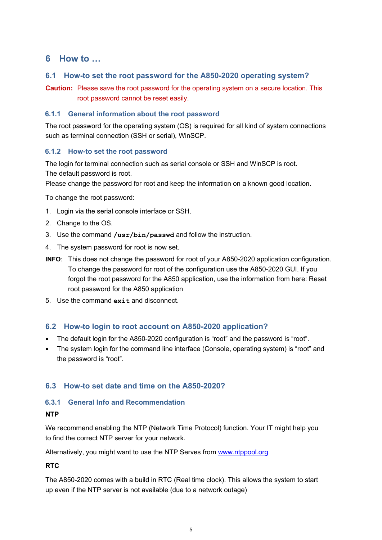# <span id="page-4-0"></span>**6 How to …**

# <span id="page-4-1"></span>**6.1 How-to set the root password for the A850-2020 operating system?**

**Caution:** Please save the root password for the operating system on a secure location. This root password cannot be reset easily.

# **6.1.1 General information about the root password**

The root password for the operating system (OS) is required for all kind of system connections such as terminal connection (SSH or serial), WinSCP.

# <span id="page-4-4"></span>**6.1.2 How-to set the root password**

The login for terminal connection such as serial console or SSH and WinSCP is root. The default password is root.

Please change the password for root and keep the information on a known good location.

To change the root password:

- 1. Login via the serial console interface or SSH.
- 2. Change to the OS.
- 3. Use the command **/usr/bin/passwd** and follow the instruction.
- 4. The system password for root is now set.
- **INFO**: This does not change the password for root of your A850-2020 application configuration. To change the password for root of the configuration use the A850-2020 GUI. If you forgot the root password for the A850 application, use the information from here: Reset root password for the A850 application
- 5. Use the command **exit** and disconnect.

# <span id="page-4-2"></span>**6.2 How-to login to root account on A850-2020 application?**

- The default login for the A850-2020 configuration is "root" and the password is "root".
- The system login for the command line interface (Console, operating system) is "root" and the password is "root".

# <span id="page-4-3"></span>**6.3 How-to set date and time on the A850-2020?**

# **6.3.1 General Info and Recommendation**

# **NTP**

We recommend enabling the NTP (Network Time Protocol) function. Your IT might help you to find the correct NTP server for your network.

Alternatively, you might want to use the NTP Serves from [www.ntppool.org](https://www.ntppool.org/)

# **RTC**

The A850-2020 comes with a build in RTC (Real time clock). This allows the system to start up even if the NTP server is not available (due to a network outage)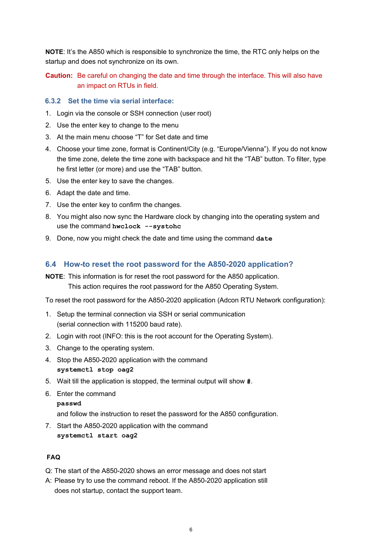**NOTE**: It's the A850 which is responsible to synchronize the time, the RTC only helps on the startup and does not synchronize on its own.

**Caution:** Be careful on changing the date and time through the interface. This will also have an impact on RTUs in field.

#### **6.3.2 Set the time via serial interface:**

- 1. Login via the console or SSH connection (user root)
- 2. Use the enter key to change to the menu
- 3. At the main menu choose "T" for Set date and time
- 4. Choose your time zone, format is Continent/City (e.g. "Europe/Vienna"). If you do not know the time zone, delete the time zone with backspace and hit the "TAB" button. To filter, type he first letter (or more) and use the "TAB" button.
- 5. Use the enter key to save the changes.
- 6. Adapt the date and time.
- 7. Use the enter key to confirm the changes.
- 8. You might also now sync the Hardware clock by changing into the operating system and use the command **hwclock --systohc**
- 9. Done, now you might check the date and time using the command **date**

#### <span id="page-5-0"></span>**6.4 How-to reset the root password for the A850-2020 application?**

**NOTE**: This information is for reset the root password for the A850 application. This action requires the root password for the A850 Operating System.

To reset the root password for the A850-2020 application (Adcon RTU Network configuration):

- 1. Setup the terminal connection via SSH or serial communication (serial connection with 115200 baud rate).
- 2. Login with root (INFO: this is the root account for the Operating System).
- 3. Change to the operating system.
- 4. Stop the A850-2020 application with the command **systemctl stop oag2**
- 5. Wait till the application is stopped, the terminal output will show **#**.
- 6. Enter the command
	- **passwd**

and follow the instruction to reset the password for the A850 configuration.

7. Start the A850-2020 application with the command **systemctl start oag2**

#### **FAQ**

Q: The start of the A850-2020 shows an error message and does not start

A: Please try to use the command reboot. If the A850-2020 application still does not startup, contact the support team.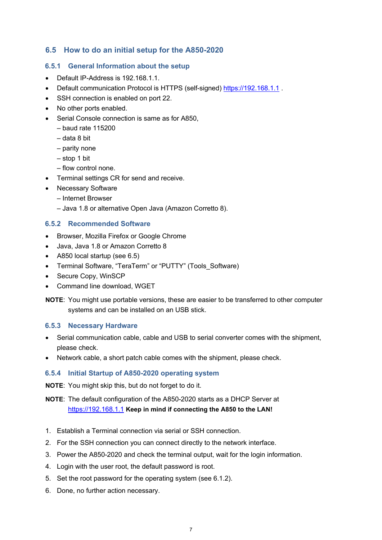# <span id="page-6-0"></span>**6.5 How to do an initial setup for the A850-2020**

#### **6.5.1 General Information about the setup**

- Default IP-Address is 192.168.1.1.
- Default communication Protocol is HTTPS (self-signed) [https://192.168.1.1](https://192.168.1.1/)
- SSH connection is enabled on port 22.
- No other ports enabled.
- Serial Console connection is same as for A850,
	- $-$  baud rate 115200
	- ‒ data 8 bit
	- ‒ parity none
	- ‒ stop 1 bit
	- ‒ flow control none.
- Terminal settings CR for send and receive.
- Necessary Software
	- ‒ Internet Browser
		- ‒ Java 1.8 or alternative Open Java (Amazon Corretto 8).

#### **6.5.2 Recommended Software**

- Browser, Mozilla Firefox or Google Chrome
- Java, Java 1.8 or Amazon Corretto 8
- A850 local startup (see 6.5)
- Terminal Software, "TeraTerm" or "PUTTY" (Tools Software)
- Secure Copy, WinSCP
- Command line download, WGET

**NOTE**: You might use portable versions, these are easier to be transferred to other computer systems and can be installed on an USB stick.

#### **6.5.3 Necessary Hardware**

- Serial communication cable, cable and USB to serial converter comes with the shipment, please check.
- Network cable, a short patch cable comes with the shipment, please check.

#### **6.5.4 Initial Startup of A850-2020 operating system**

**NOTE**: You might skip this, but do not forget to do it.

# **NOTE**: The default configuration of the A850-2020 starts as a DHCP Server at [https://192.168.1.1](https://192.168.1.1/) **Keep in mind if connecting the A850 to the LAN!**

- 1. Establish a Terminal connection via serial or SSH connection.
- 2. For the SSH connection you can connect directly to the network interface.
- 3. Power the A850-2020 and check the terminal output, wait for the login information.
- 4. Login with the user root, the default password is root.
- 5. Set the root password for the operating system (see [6.1.2](#page-4-4)).
- 6. Done, no further action necessary.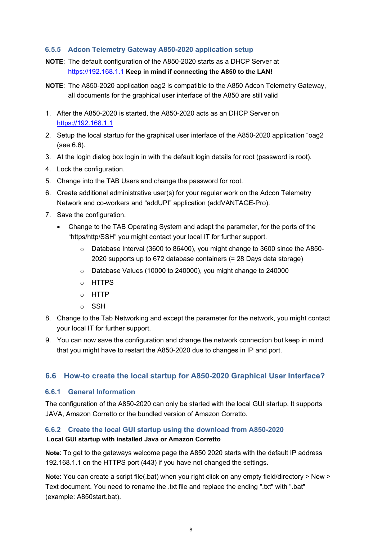# **6.5.5 Adcon Telemetry Gateway A850-2020 application setup**

- **NOTE**: The default configuration of the A850-2020 starts as a DHCP Server at [https://192.168.1.1](https://192.168.1.1/) **Keep in mind if connecting the A850 to the LAN!**
- **NOTE**: The A850-2020 application oag2 is compatible to the A850 Adcon Telemetry Gateway, all documents for the graphical user interface of the A850 are still valid
- 1. After the A850-2020 is started, the A850-2020 acts as an DHCP Server on [https://192.168.1.1](https://192.168.1.1/)
- 2. Setup the local startup for the graphical user interface of the A850-2020 application "oag2 (see [6.6](#page-7-0)).
- 3. At the login dialog box login in with the default login details for root (password is root).
- 4. Lock the configuration.
- 5. Change into the TAB Users and change the password for root.
- 6. Create additional administrative user(s) for your regular work on the Adcon Telemetry Network and co-workers and "addUPI" application (addVANTAGE-Pro).
- 7. Save the configuration.
	- Change to the TAB Operating System and adapt the parameter, for the ports of the "https/http/SSH" you might contact your local IT for further support.
		- o Database Interval (3600 to 86400), you might change to 3600 since the A850- 2020 supports up to 672 database containers (= 28 Days data storage)
		- o Database Values (10000 to 240000), you might change to 240000
		- o HTTPS
		- o HTTP
		- o SSH
- 8. Change to the Tab Networking and except the parameter for the network, you might contact your local IT for further support.
- 9. You can now save the configuration and change the network connection but keep in mind that you might have to restart the A850-2020 due to changes in IP and port.

# <span id="page-7-0"></span>**6.6 How-to create the local startup for A850-2020 Graphical User Interface?**

# **6.6.1 General Information**

The configuration of the A850-2020 can only be started with the local GUI startup. It supports JAVA, Amazon Corretto or the bundled version of Amazon Corretto.

# **6.6.2 Create the local GUI startup using the download from A850-2020**

# **Local GUI startup with installed Java or Amazon Corretto**

**Note**: To get to the gateways welcome page the A850 2020 starts with the default IP address 192.168.1.1 on the HTTPS port (443) if you have not changed the settings.

**Note**: You can create a script file(.bat) when you right click on any empty field/directory > New > Text document. You need to rename the .txt file and replace the ending ".txt" with ".bat" (example: A850start.bat).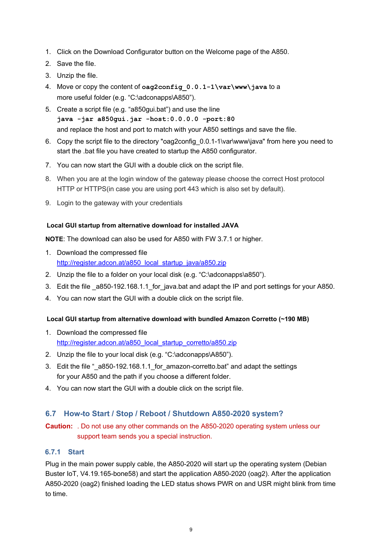- 1. Click on the Download Configurator button on the Welcome page of the A850.
- 2. Save the file.
- 3. Unzip the file.
- 4. Move or copy the content of **oag2config\_0.0.1-1\var\www\java** to a more useful folder (e.g. "C:\adconapps\A850").
- 5. Create a script file (e.g. "a850gui.bat") and use the line **java -jar a850gui.jar -host:0.0.0.0 -port:80** and replace the host and port to match with your A850 settings and save the file.
- 6. Copy the script file to the directory "oag2config\_0.0.1-1\var\www\java" from here you need to start the .bat file you have created to startup the A850 configurator.
- 7. You can now start the GUI with a double click on the script file.
- 8. When you are at the login window of the gateway please choose the correct Host protocol HTTP or HTTPS(in case you are using port 443 which is also set by default).
- 9. Login to the gateway with your credentials

#### **Local GUI startup from alternative download for installed JAVA**

**NOTE**: The download can also be used for A850 with FW 3.7.1 or higher.

- 1. Download the compressed file [http://register.adcon.at/a850\\_local\\_startup\\_java/a850.zip](http://register.adcon.at/a850_local_startup_java/a850.zip)
- 2. Unzip the file to a folder on your local disk (e.g. "C:\adconapps\a850").
- 3. Edit the file \_a850-192.168.1.1\_for\_java.bat and adapt the IP and port settings for your A850.
- 4. You can now start the GUI with a double click on the script file.

#### **Local GUI startup from alternative download with bundled Amazon Corretto (~190 MB)**

- 1. Download the compressed file [http://register.adcon.at/a850\\_local\\_startup\\_corretto/a850.zip](http://register.adcon.at/a850_local_startup_corretto/a850.zip)
- 2. Unzip the file to your local disk (e.g. "C:\adconapps\A850").
- 3. Edit the file " a850-192.168.1.1 for amazon-corretto.bat" and adapt the settings for your A850 and the path if you choose a different folder.
- 4. You can now start the GUI with a double click on the script file.

# <span id="page-8-0"></span>**6.7 How-to Start / Stop / Reboot / Shutdown A850-2020 system?**

**Caution:** . Do not use any other commands on the A850-2020 operating system unless our support team sends you a special instruction.

# **6.7.1 Start**

Plug in the main power supply cable, the A850-2020 will start up the operating system (Debian Buster IoT, V4.19.165-bone58) and start the application A850-2020 (oag2). After the application A850-2020 (oag2) finished loading the LED status shows PWR on and USR might blink from time to time.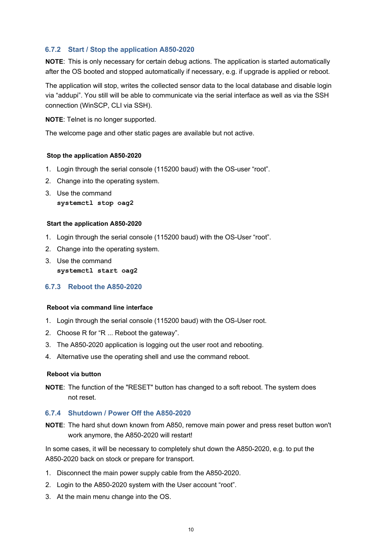# **6.7.2 Start / Stop the application A850-2020**

**NOTE**: This is only necessary for certain debug actions. The application is started automatically after the OS booted and stopped automatically if necessary, e.g. if upgrade is applied or reboot.

The application will stop, writes the collected sensor data to the local database and disable login via "addupi". You still will be able to communicate via the serial interface as well as via the SSH connection (WinSCP, CLI via SSH).

**NOTE**: Telnet is no longer supported.

The welcome page and other static pages are available but not active.

#### **Stop the application A850-2020**

- 1. Login through the serial console (115200 baud) with the OS-user "root".
- 2. Change into the operating system.
- 3. Use the command **systemctl stop oag2**

#### **Start the application A850-2020**

- 1. Login through the serial console (115200 baud) with the OS-User "root".
- 2. Change into the operating system.
- 3. Use the command **systemctl start oag2**

# **6.7.3 Reboot the A850-2020**

#### **Reboot via command line interface**

- 1. Login through the serial console (115200 baud) with the OS-User root.
- 2. Choose R for "R ... Reboot the gateway".
- 3. The A850-2020 application is logging out the user root and rebooting.
- 4. Alternative use the operating shell and use the command reboot.

#### **Reboot via button**

**NOTE**: The function of the "RESET" button has changed to a soft reboot. The system does not reset.

#### **6.7.4 Shutdown / Power Off the A850-2020**

**NOTE**: The hard shut down known from A850, remove main power and press reset button won't work anymore, the A850-2020 will restart!

In some cases, it will be necessary to completely shut down the A850-2020, e.g. to put the A850-2020 back on stock or prepare for transport.

- 1. Disconnect the main power supply cable from the A850-2020.
- 2. Login to the A850-2020 system with the User account "root".
- 3. At the main menu change into the OS.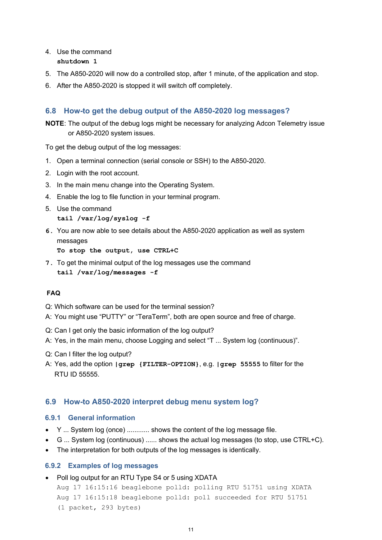#### 4. Use the command **shutdown 1**

- 5. The A850-2020 will now do a controlled stop, after 1 minute, of the application and stop.
- 6. After the A850-2020 is stopped it will switch off completely.

# <span id="page-10-0"></span>**6.8 How-to get the debug output of the A850-2020 log messages?**

**NOTE**: The output of the debug logs might be necessary for analyzing Adcon Telemetry issue or A850-2020 system issues.

To get the debug output of the log messages:

- 1. Open a terminal connection (serial console or SSH) to the A850-2020.
- 2. Login with the root account.
- 3. In the main menu change into the Operating System.
- 4. Enable the log to file function in your terminal program.
- 5. Use the command **tail /var/log/syslog -f**
- **6.** You are now able to see details about the A850-2020 application as well as system messages

**To stop the output, use CTRL+C**

**7.** To get the minimal output of the log messages use the command **tail /var/log/messages -f**

# **FAQ**

- Q: Which software can be used for the terminal session?
- A: You might use "PUTTY" or "TeraTerm", both are open source and free of charge.
- Q: Can I get only the basic information of the log output?
- A: Yes, in the main menu, choose Logging and select "T ... System log (continuous)".
- Q: Can I filter the log output?
- A: Yes, add the option **|grep {FILTER-OPTION}**, e.g. **|grep 55555** to filter for the RTU ID 55555.

# <span id="page-10-1"></span>**6.9 How-to A850-2020 interpret debug menu system log?**

#### **6.9.1 General information**

- Y ... System log (once) ............ shows the content of the log message file.
- G ... System log (continuous) ...... shows the actual log messages (to stop, use CTRL+C).
- The interpretation for both outputs of the log messages is identically.

# **6.9.2 Examples of log messages**

• Poll log output for an RTU Type S4 or 5 using XDATA

Aug 17 16:15:16 beaglebone polld: polling RTU 51751 using XDATA Aug 17 16:15:18 beaglebone polld: poll succeeded for RTU 51751 (1 packet, 293 bytes)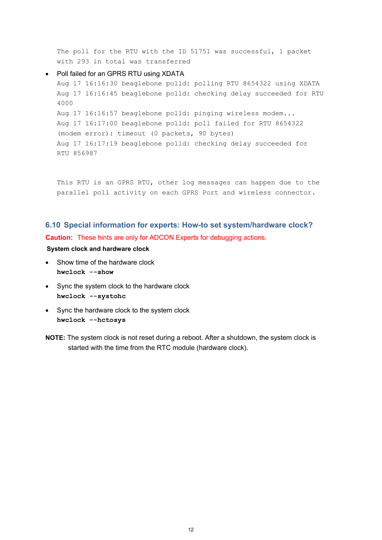The poll for the RTU with the ID 51751 was successful, 1 packet with 293 in total was transferred

#### • Poll failed for an GPRS RTU using XDATA

Aug 17 16:16:30 beaglebone polld: polling RTU 8654322 using XDATA Aug 17 16:16:45 beaglebone polld: checking delay succeeded for RTU 4000 Aug 17 16:16:57 beaglebone polld: pinging wireless modem... Aug 17 16:17:00 beaglebone polld: poll failed for RTU 8654322 (modem error): timeout (0 packets, 90 bytes) Aug 17 16:17:19 beaglebone polld: checking delay succeeded for RTU 856987

This RTU is an GPRS RTU, other log messages can happen due to the parallel poll activity on each GPRS Port and wireless connector.

# <span id="page-11-0"></span>**6.10 Special information for experts: How-to set system/hardware clock? Caution:** These hints are only for ADCON Experts for debugging actions.

#### **System clock and hardware clock**

- Show time of the hardware clock **hwclock --show**
- Sync the system clock to the hardware clock **hwclock --systohc**
- Sync the hardware clock to the system clock **hwclock --hctosys**
- **NOTE:** The system clock is not reset during a reboot. After a shutdown, the system clock is started with the time from the RTC module (hardware clock).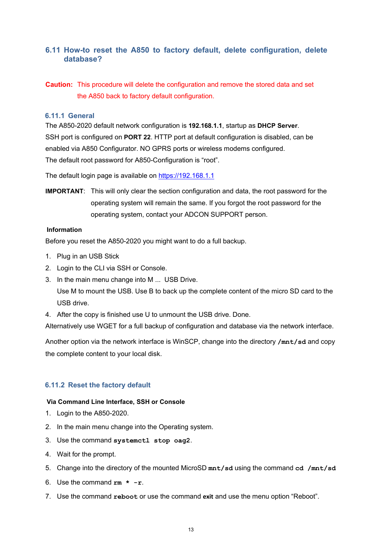# <span id="page-12-0"></span>**6.11 How-to reset the A850 to factory default, delete configuration, delete database?**

**Caution:** This procedure will delete the configuration and remove the stored data and set the A850 back to factory default configuration.

#### **6.11.1 General**

The A850-2020 default network configuration is **192.168.1.1**, startup as **DHCP Server**. SSH port is configured on **PORT 22**. HTTP port at default configuration is disabled, can be enabled via A850 Configurator. NO GPRS ports or wireless modems configured. The default root password for A850-Configuration is "root".

The default login page is available on [https://192.168.1.1](https://192.168.1.1/)

**IMPORTANT**: This will only clear the section configuration and data, the root password for the operating system will remain the same. If you forgot the root password for the operating system, contact your ADCON SUPPORT person.

#### **Information**

Before you reset the A850-2020 you might want to do a full backup.

- 1. Plug in an USB Stick
- 2. Login to the CLI via SSH or Console.
- 3. In the main menu change into M ... USB Drive. Use M to mount the USB. Use B to back up the complete content of the micro SD card to the USB drive.
- 4. After the copy is finished use U to unmount the USB drive. Done.

Alternatively use WGET for a full backup of configuration and database via the network interface.

Another option via the network interface is WinSCP, change into the directory **/mnt/sd** and copy the complete content to your local disk.

# **6.11.2 Reset the factory default**

#### **Via Command Line Interface, SSH or Console**

- 1. Login to the A850-2020.
- 2. In the main menu change into the Operating system.
- 3. Use the command **systemctl stop oag2**.
- 4. Wait for the prompt.
- 5. Change into the directory of the mounted MicroSD **mnt/sd** using the command **cd /mnt/sd**
- 6. Use the command **rm \* -r**.
- 7. Use the command **reboot** or use the command **exit** and use the menu option "Reboot".